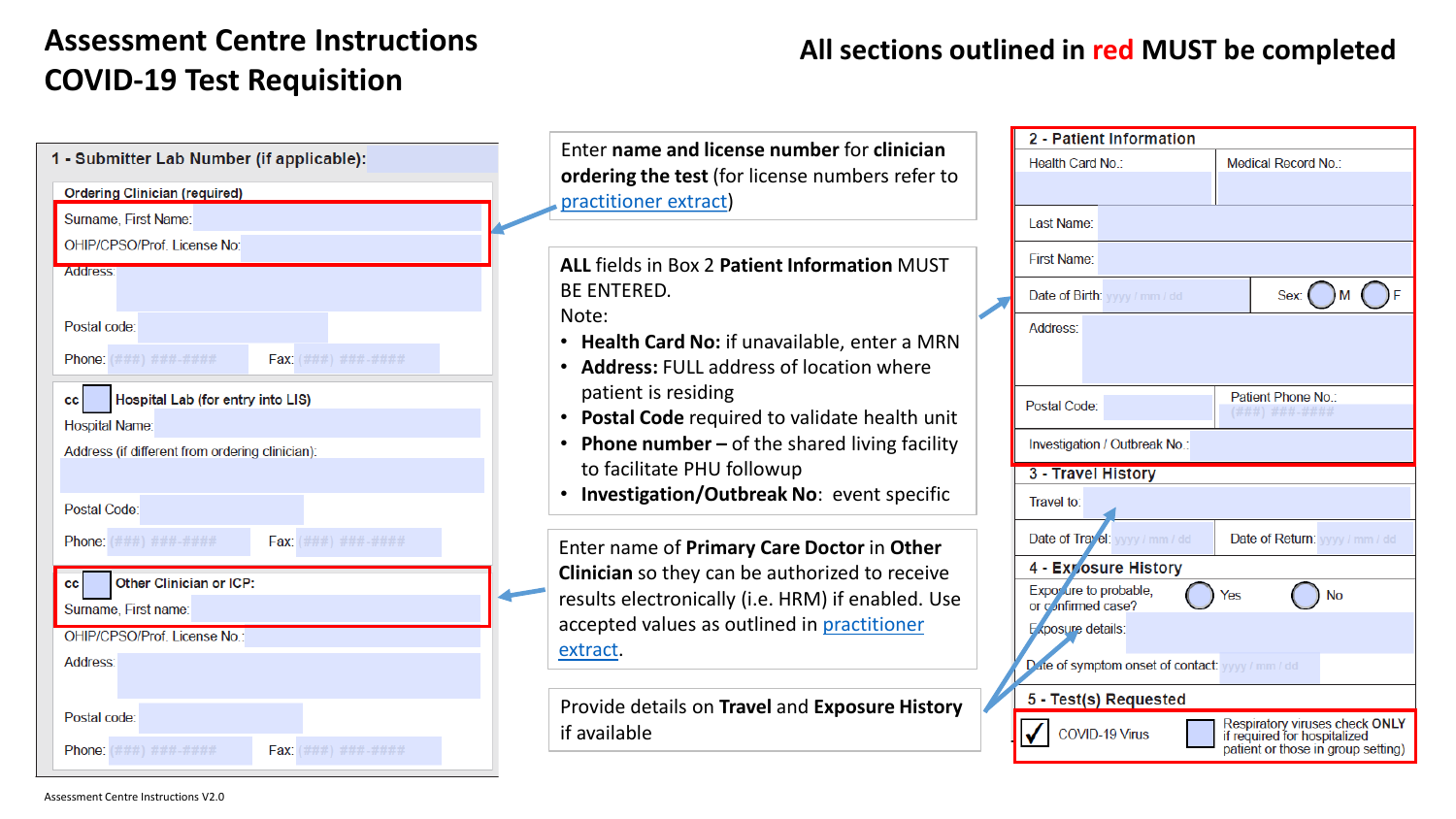## **Assessment Centre Instructions COVID-19 Test Requisition**

## **All sections outlined in red MUST be completed**

|                                                 |                                                                                                                                                                                                                    |  | 2 - Patient Information                          |                                                                                                      |
|-------------------------------------------------|--------------------------------------------------------------------------------------------------------------------------------------------------------------------------------------------------------------------|--|--------------------------------------------------|------------------------------------------------------------------------------------------------------|
| Submitter Lab Number (if applicable):           | Enter name and license number for clinician                                                                                                                                                                        |  | Health Card No.:                                 | Medical Record No.:                                                                                  |
| Ordering Clinician (required)                   | ordering the test (for license numbers refer to<br>practitioner extract)                                                                                                                                           |  |                                                  |                                                                                                      |
| Surname, First Name:                            |                                                                                                                                                                                                                    |  | Last Name:                                       |                                                                                                      |
| <b>OHIP/CPSO/Prof. License No:</b>              |                                                                                                                                                                                                                    |  | <b>First Name:</b>                               |                                                                                                      |
| <b>Address:</b>                                 | ALL fields in Box 2 Patient Information MUST<br><b>BE ENTERED.</b><br>Note:<br>• Health Card No: if unavailable, enter a MRN<br><b>Address: FULL address of location where</b><br>$\bullet$<br>patient is residing |  |                                                  |                                                                                                      |
|                                                 |                                                                                                                                                                                                                    |  | Date of Birth: yyyy / mm / dd                    | Sex: (                                                                                               |
| Postal code:                                    |                                                                                                                                                                                                                    |  | Address:                                         |                                                                                                      |
| Phone: (###) ###-####<br>Fax: (###) ###-#####   |                                                                                                                                                                                                                    |  |                                                  |                                                                                                      |
| cc   Hospital Lab (for entry into LIS)          |                                                                                                                                                                                                                    |  | Postal Code:                                     | Patient Phone No.:<br>(###) ###-####                                                                 |
| <b>Hospital Name:</b>                           | Postal Code required to validate health unit<br>$\bullet$                                                                                                                                                          |  |                                                  |                                                                                                      |
| Address (if different from ordering clinician): | <b>Phone number – of the shared living facility</b><br>$\bullet$                                                                                                                                                   |  | Investigation / Outbreak No.:                    |                                                                                                      |
|                                                 | to facilitate PHU followup                                                                                                                                                                                         |  | 3 - Travel History                               |                                                                                                      |
| Postal Code:                                    | Investigation/Outbreak No: event specific                                                                                                                                                                          |  | Travel to:                                       |                                                                                                      |
| Phone: (###) ###-####<br>Fax: (###) ###-####    | Enter name of Primary Care Doctor in Other<br>Clinician so they can be authorized to receive                                                                                                                       |  | Date of Trayel: yyyy / mm / dd                   | Date of Return: yyyy / mm / dd                                                                       |
| Other Clinician or ICP:<br>C I                  |                                                                                                                                                                                                                    |  | 4 - Exposure History                             |                                                                                                      |
| Surname, First name:                            | results electronically (i.e. HRM) if enabled. Use                                                                                                                                                                  |  | Exposure to probable,<br>or confirmed case?      | $\bigcap$ No<br>Yes                                                                                  |
| OHIP/CPSO/Prof. License No.:                    | accepted values as outlined in practitioner                                                                                                                                                                        |  | Exposure details:                                |                                                                                                      |
| Address:                                        | extract.                                                                                                                                                                                                           |  | Date of symptom onset of contact: yyyy / mm / dd |                                                                                                      |
|                                                 | Provide details on Travel and Exposure History                                                                                                                                                                     |  | 5 - Test(s) Requested                            |                                                                                                      |
| Postal code:                                    |                                                                                                                                                                                                                    |  |                                                  |                                                                                                      |
| Phone: (###) ###-####<br>Fax: (###) ###-####    | if available                                                                                                                                                                                                       |  | COVID-19 Virus                                   | Respiratory viruses check ONLY<br>if required for hospitalized<br>patient or those in group setting) |
|                                                 |                                                                                                                                                                                                                    |  |                                                  |                                                                                                      |

 $1.$